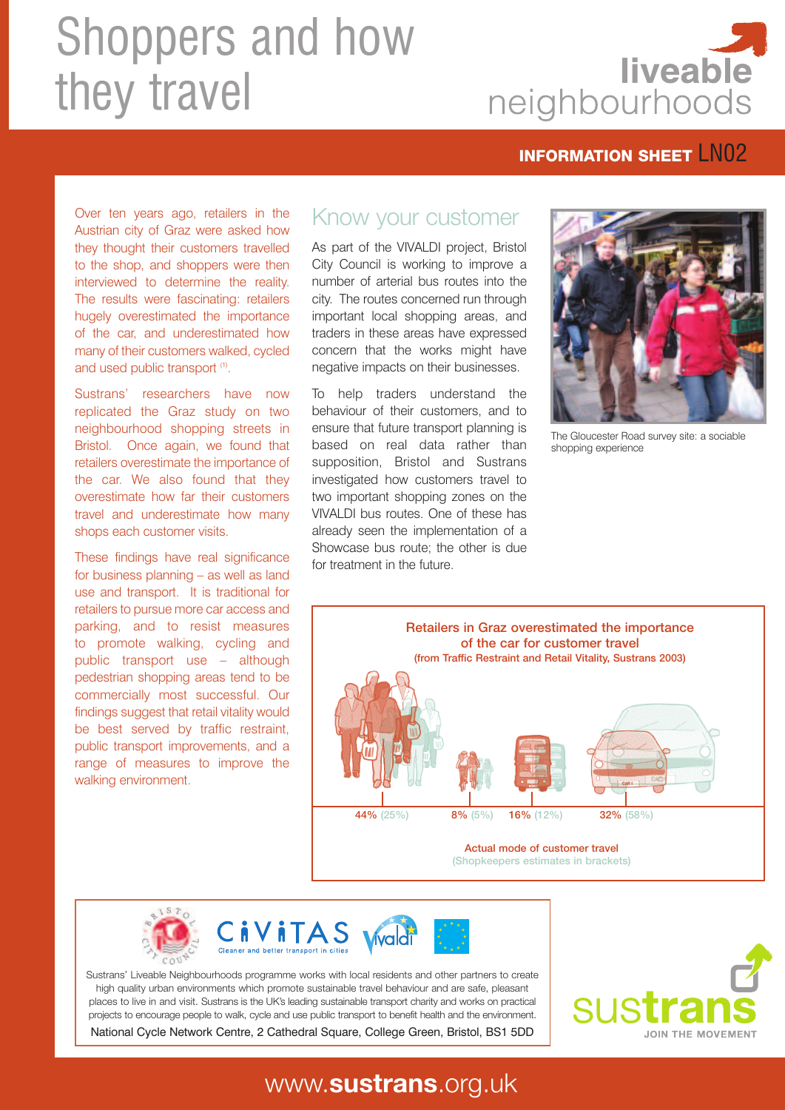# Shoppers and how they travel



#### **INFORMATION SHEET | NO2**

Over ten years ago, retailers in the Austrian city of Graz were asked how they thought their customers travelled to the shop, and shoppers were then interviewed to determine the reality. The results were fascinating: retailers hugely overestimated the importance of the car, and underestimated how many of their customers walked, cycled and used public transport <sup>(1)</sup>.

Sustrans' researchers have now replicated the Graz study on two neighbourhood shopping streets in Bristol. Once again, we found that retailers overestimate the importance of the car. We also found that they overestimate how far their customers travel and underestimate how many shops each customer visits.

These findings have real significance for business planning – as well as land use and transport. It is traditional for retailers to pursue more car access and parking, and to resist measures to promote walking, cycling and public transport use – although pedestrian shopping areas tend to be commercially most successful. Our findings suggest that retail vitality would be best served by traffic restraint, public transport improvements, and a range of measures to improve the walking environment.

#### Know your customer

As part of the VIVALDI project, Bristol City Council is working to improve a number of arterial bus routes into the city. The routes concerned run through important local shopping areas, and traders in these areas have expressed concern that the works might have negative impacts on their businesses.

To help traders understand the behaviour of their customers, and to ensure that future transport planning is based on real data rather than supposition, Bristol and Sustrans investigated how customers travel to two important shopping zones on the VIVALDI bus routes. One of these has already seen the implementation of a Showcase bus route; the other is due for treatment in the future.



The Gloucester Road survey site: a sociable shopping experience



(Shopkeepers estimates in brackets)





Sustrans' Liveable Neighbourhoods programme works with local residents and other partners to create high quality urban environments which promote sustainable travel behaviour and are safe, pleasant places to live in and visit. Sustrans is the UK's leading sustainable transport charity and works on practical projects to encourage people to walk, cycle and use public transport to benefit health and the environment. National Cycle Network Centre, 2 Cathedral Square, College Green, Bristol, BS1 5DD



# www.**sustrans**.org.uk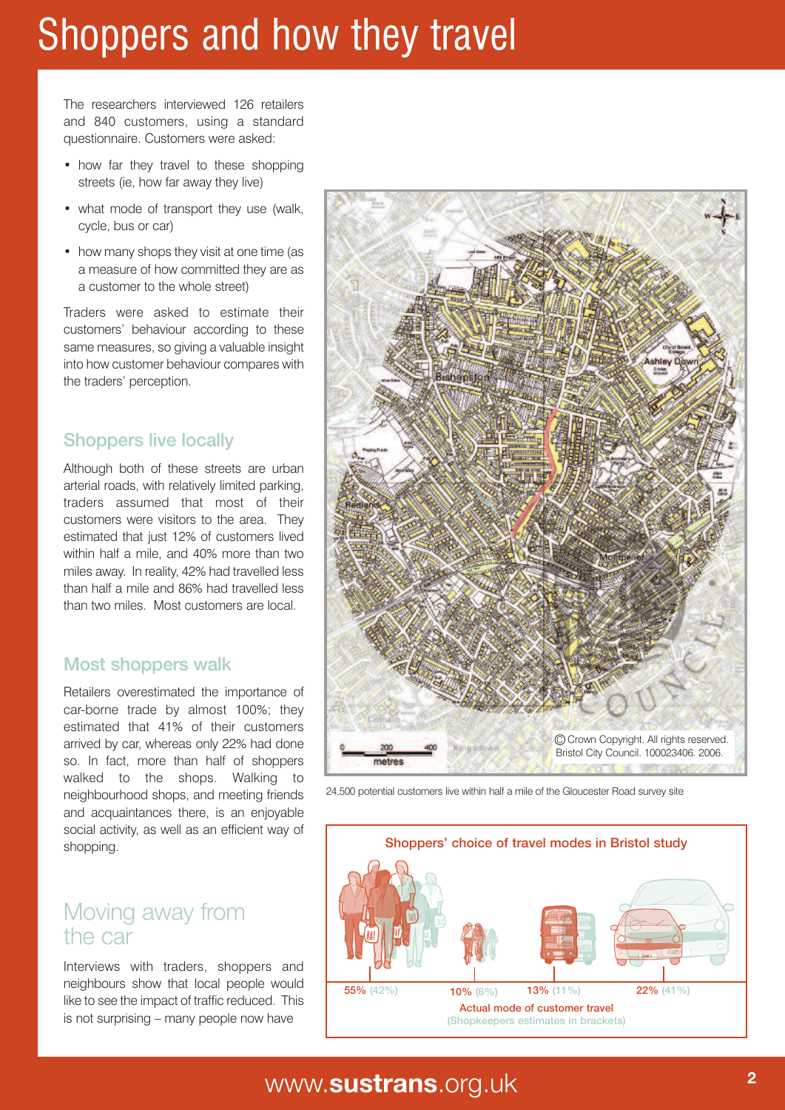# Shoppers and how they travel

The researchers interviewed 126 retailers and 840 customers, using a standard questionnaire. Customers were asked:

- how far they travel to these shopping streets (ie, how far away they live)
- what mode of transport they use (walk, cycle, bus or car)
- how many shops they visit at one time (as a measure of how committed they are as a customer to the whole street)

Traders were asked to estimate their customers' behaviour according to these same measures, so giving a valuable insight into how customer behaviour compares with the traders' perception.

#### Shoppers live locally

Although both of these streets are urban arterial roads, with relatively limited parking, traders assumed that most of their customers were visitors to the area. They estimated that just 12% of customers lived within half a mile, and 40% more than two miles away. In reality, 42% had travelled less than half a mile and 86% had travelled less than two miles. Most customers are local.

#### Most shoppers walk

Retailers overestimated the importance of car-borne trade by almost 100%; they estimated that 41% of their customers arrived by car, whereas only 22% had done so. In fact, more than half of shoppers walked to the shops. Walking to neighbourhood shops, and meeting friends and acquaintances there, is an enjoyable social activity, as well as an efficient way of shopping.

# Moving away from the car

Interviews with traders, shoppers and neighbours show that local people would like to see the impact of traffic reduced. This is not surprising – many people now have







# www **<sup>2</sup>** .**sustrans**.org.uk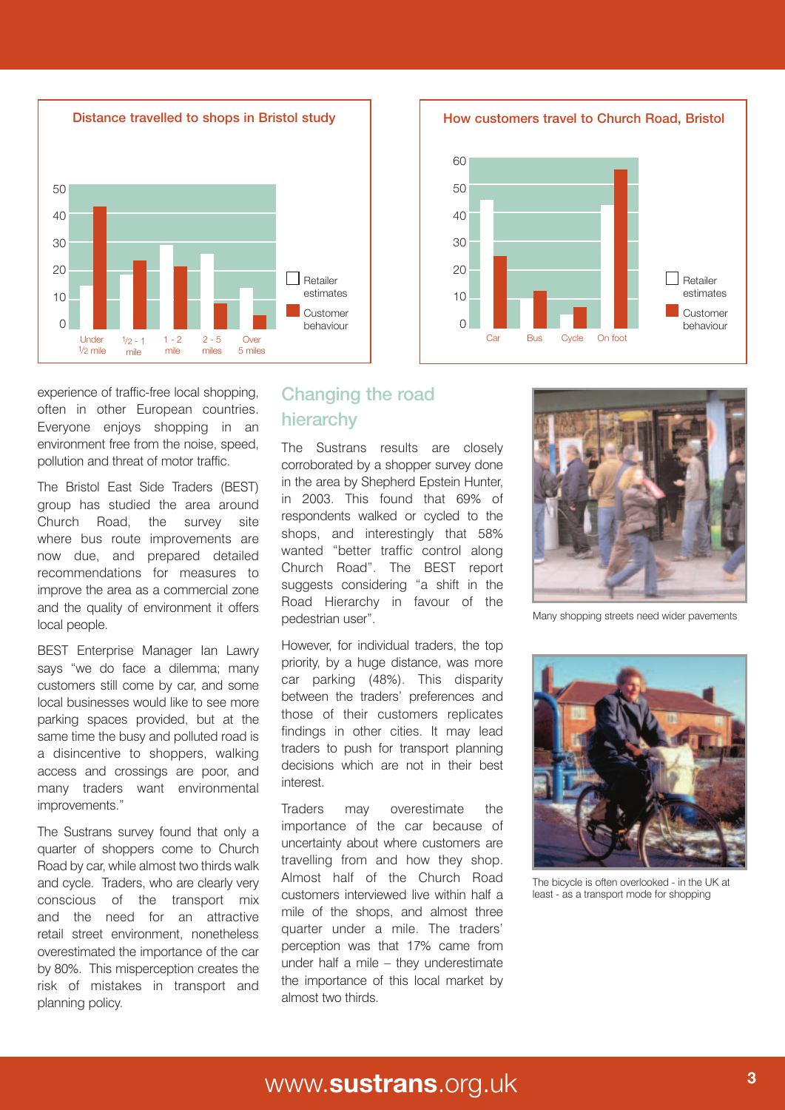

experience of traffic-free local shopping, often in other European countries. Everyone enjoys shopping in an environment free from the noise, speed, pollution and threat of motor traffic.

The Bristol East Side Traders (BEST) group has studied the area around Church Road, the survey site where bus route improvements are now due, and prepared detailed recommendations for measures to improve the area as a commercial zone and the quality of environment it offers local people.

BEST Enterprise Manager Ian Lawry says "we do face a dilemma; many customers still come by car, and some local businesses would like to see more parking spaces provided, but at the same time the busy and polluted road is a disincentive to shoppers, walking access and crossings are poor, and many traders want environmental improvements."

The Sustrans survey found that only a quarter of shoppers come to Church Road by car, while almost two thirds walk and cycle. Traders, who are clearly very conscious of the transport mix and the need for an attractive retail street environment, nonetheless overestimated the importance of the car by 80%. This misperception creates the risk of mistakes in transport and planning policy.

#### Changing the road hierarchy

The Sustrans results are closely corroborated by a shopper survey done in the area by Shepherd Epstein Hunter, in 2003. This found that 69% of respondents walked or cycled to the shops, and interestingly that 58% wanted "better traffic control along Church Road". The BEST report suggests considering "a shift in the Road Hierarchy in favour of the pedestrian user".

However, for individual traders, the top priority, by a huge distance, was more car parking (48%). This disparity between the traders' preferences and those of their customers replicates findings in other cities. It may lead traders to push for transport planning decisions which are not in their best interest.

Traders may overestimate the importance of the car because of uncertainty about where customers are travelling from and how they shop. Almost half of the Church Road customers interviewed live within half a mile of the shops, and almost three quarter under a mile. The traders' perception was that 17% came from under half a mile – they underestimate the importance of this local market by almost two thirds.





Many shopping streets need wider pavements



The bicycle is often overlooked - in the UK at least - as a transport mode for shopping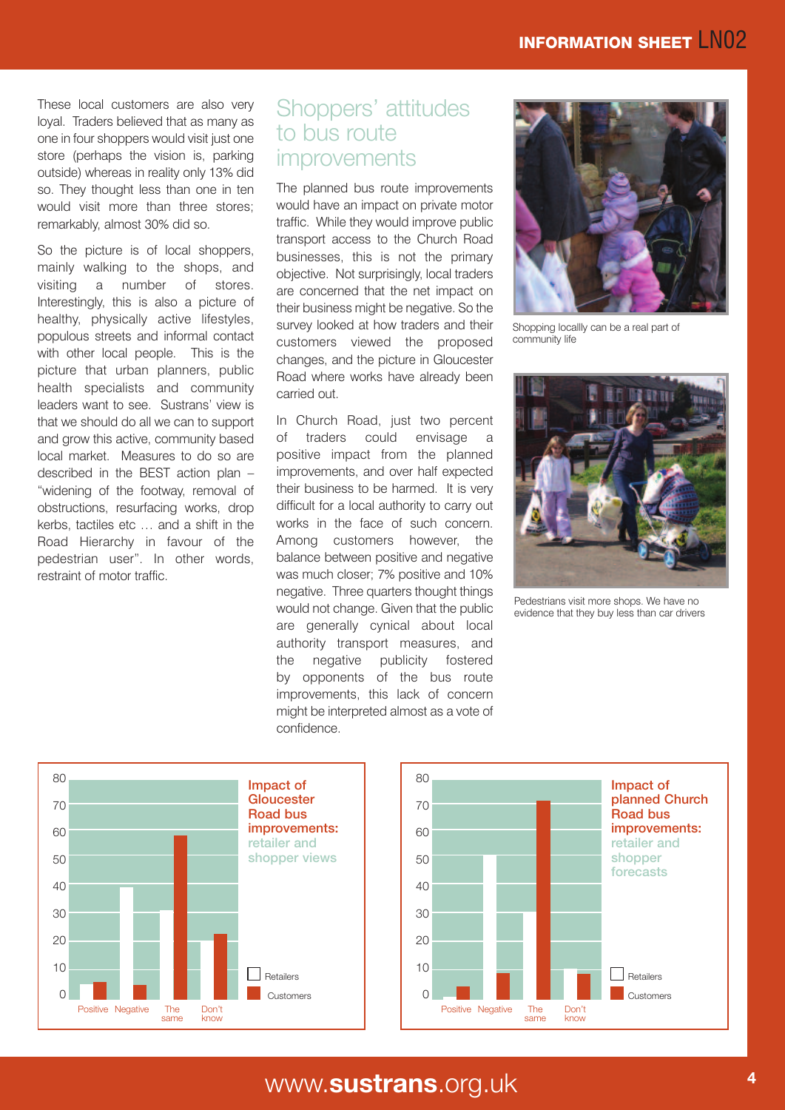These local customers are also very loyal. Traders believed that as many as one in four shoppers would visit just one store (perhaps the vision is, parking outside) whereas in reality only 13% did so. They thought less than one in ten would visit more than three stores; remarkably, almost 30% did so.

So the picture is of local shoppers, mainly walking to the shops, and visiting a number of stores. Interestingly, this is also a picture of healthy, physically active lifestyles, populous streets and informal contact with other local people. This is the picture that urban planners, public health specialists and community leaders want to see. Sustrans' view is that we should do all we can to support and grow this active, community based local market. Measures to do so are described in the BEST action plan – "widening of the footway, removal of obstructions, resurfacing works, drop kerbs, tactiles etc … and a shift in the Road Hierarchy in favour of the pedestrian user". In other words, restraint of motor traffic.

#### Shoppers' attitudes to bus route improvements

The planned bus route improvements would have an impact on private motor traffic. While they would improve public transport access to the Church Road businesses, this is not the primary objective. Not surprisingly, local traders are concerned that the net impact on their business might be negative. So the survey looked at how traders and their customers viewed the proposed changes, and the picture in Gloucester Road where works have already been carried out.

In Church Road, just two percent of traders could envisage a positive impact from the planned improvements, and over half expected their business to be harmed. It is very difficult for a local authority to carry out works in the face of such concern. Among customers however, the balance between positive and negative was much closer; 7% positive and 10% negative. Three quarters thought things would not change. Given that the public are generally cynical about local authority transport measures, and the negative publicity fostered by opponents of the bus route improvements, this lack of concern might be interpreted almost as a vote of confidence.



Shopping locallly can be a real part of community life



Pedestrians visit more shops. We have no evidence that they buy less than car drivers





# www **<sup>4</sup>** .**sustrans**.org.uk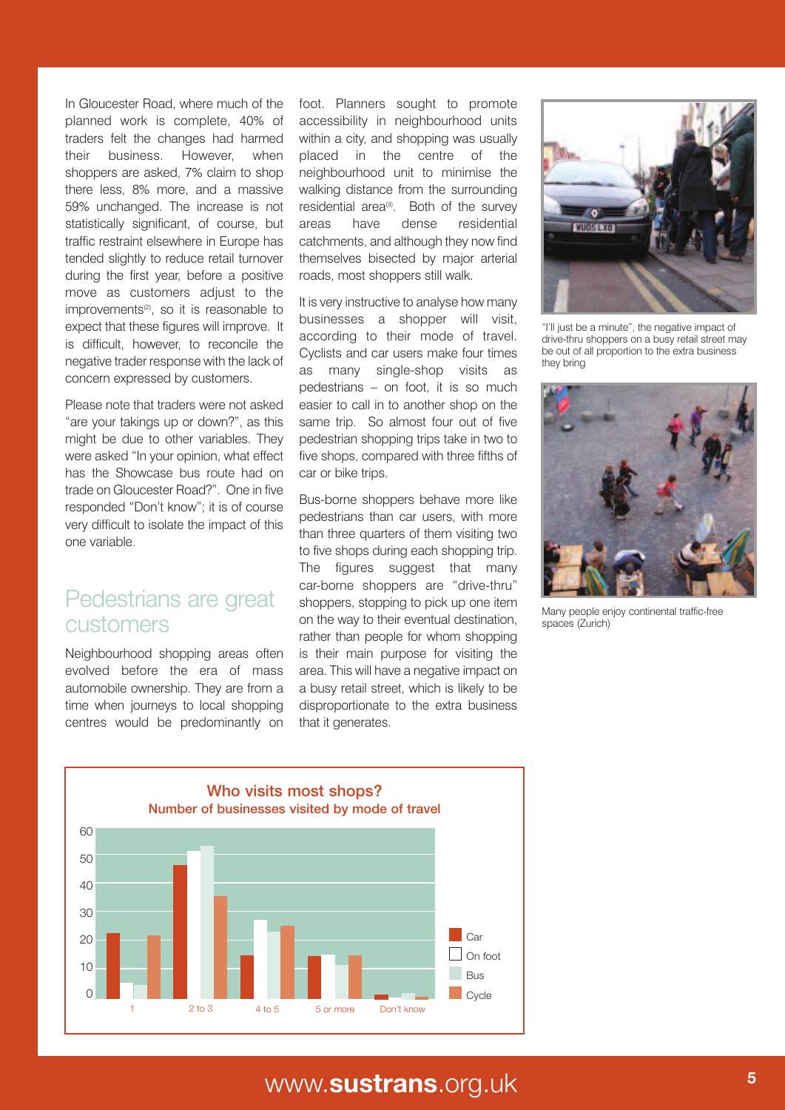In Gloucester Road, where much of the planned work is complete, 40% of traders felt the changes had harmed their business. However, when shoppers are asked, 7% claim to shop there less, 8% more, and a massive 59% unchanged. The increase is not statistically significant, of course, but traffic restraint elsewhere in Europe has tended slightly to reduce retail turnover during the first year, before a positive move as customers adjust to the improvements<sup>(2)</sup>, so it is reasonable to expect that these figures will improve. It is difficult, however, to reconcile the negative trader response with the lack of concern expressed by customers.

Please note that traders were not asked "are your takings up or down?", as this might be due to other variables. They were asked "In your opinion, what effect has the Showcase bus route had on trade on Gloucester Road?". One in five responded "Don't know"; it is of course very difficult to isolate the impact of this one variable.

#### Pedestrians are great customers

Neighbourhood shopping areas often evolved before the era of mass automobile ownership. They are from a time when journeys to local shopping centres would be predominantly on foot. Planners sought to promote accessibility in neighbourhood units within a city, and shopping was usually placed in the centre of the neighbourhood unit to minimise the walking distance from the surrounding residential area<sup>(3)</sup>. Both of the survey areas have dense residential catchments, and although they now find themselves bisected by major arterial roads, most shoppers still walk.

It is very instructive to analyse how many businesses a shopper will visit, according to their mode of travel. Cyclists and car users make four times as many single-shop visits as pedestrians – on foot, it is so much easier to call in to another shop on the same trip. So almost four out of five pedestrian shopping trips take in two to five shops, compared with three fifths of car or bike trips.

Bus-borne shoppers behave more like pedestrians than car users, with more than three quarters of them visiting two to five shops during each shopping trip. The figures suggest that many car-borne shoppers are "drive-thru" shoppers, stopping to pick up one item on the way to their eventual destination, rather than people for whom shopping is their main purpose for visiting the area. This will have a negative impact on a busy retail street, which is likely to be disproportionate to the extra business that it generates.



"I'll just be a minute", the negative impact of drive-thru shoppers on a busy retail street may be out of all proportion to the extra business they bring



Many people enjoy continental traffic-free spaces (Zurich)



# www. **<sup>5</sup> sustrans**.org.uk